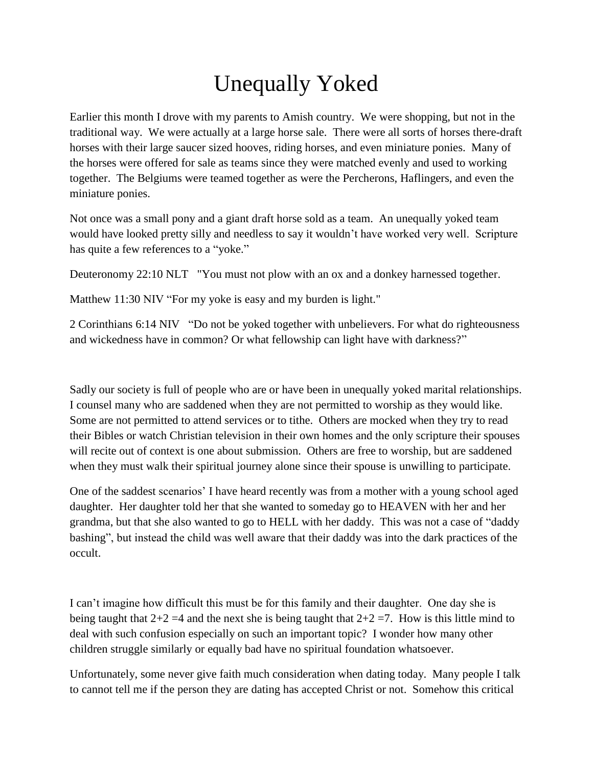## Unequally Yoked

Earlier this month I drove with my parents to Amish country. We were shopping, but not in the traditional way. We were actually at a large horse sale. There were all sorts of horses there-draft horses with their large saucer sized hooves, riding horses, and even miniature ponies. Many of the horses were offered for sale as teams since they were matched evenly and used to working together. The Belgiums were teamed together as were the Percherons, Haflingers, and even the miniature ponies.

Not once was a small pony and a giant draft horse sold as a team. An unequally yoked team would have looked pretty silly and needless to say it wouldn't have worked very well. Scripture has quite a few references to a "yoke."

Deuteronomy 22:10 NLT "You must not plow with an ox and a donkey harnessed together.

Matthew 11:30 NIV "For my yoke is easy and my burden is light."

2 Corinthians 6:14 NIV "Do not be yoked together with unbelievers. For what do righteousness and wickedness have in common? Or what fellowship can light have with darkness?"

Sadly our society is full of people who are or have been in unequally yoked marital relationships. I counsel many who are saddened when they are not permitted to worship as they would like. Some are not permitted to attend services or to tithe. Others are mocked when they try to read their Bibles or watch Christian television in their own homes and the only scripture their spouses will recite out of context is one about submission. Others are free to worship, but are saddened when they must walk their spiritual journey alone since their spouse is unwilling to participate.

One of the saddest scenarios' I have heard recently was from a mother with a young school aged daughter. Her daughter told her that she wanted to someday go to HEAVEN with her and her grandma, but that she also wanted to go to HELL with her daddy. This was not a case of "daddy bashing", but instead the child was well aware that their daddy was into the dark practices of the occult.

I can't imagine how difficult this must be for this family and their daughter. One day she is being taught that  $2+2=4$  and the next she is being taught that  $2+2=7$ . How is this little mind to deal with such confusion especially on such an important topic? I wonder how many other children struggle similarly or equally bad have no spiritual foundation whatsoever.

Unfortunately, some never give faith much consideration when dating today. Many people I talk to cannot tell me if the person they are dating has accepted Christ or not. Somehow this critical